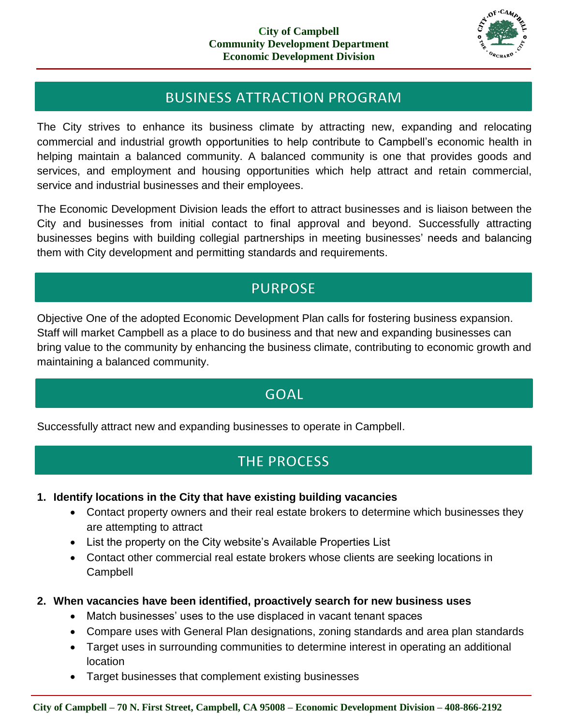

## **BUSINESS ATTRACTION PROGRAM**

The City strives to enhance its business climate by attracting new, expanding and relocating commercial and industrial growth opportunities to help contribute to Campbell's economic health in helping maintain a balanced community. A balanced community is one that provides goods and services, and employment and housing opportunities which help attract and retain commercial, service and industrial businesses and their employees.

The Economic Development Division leads the effort to attract businesses and is liaison between the City and businesses from initial contact to final approval and beyond. Successfully attracting businesses begins with building collegial partnerships in meeting businesses' needs and balancing them with City development and permitting standards and requirements.

## **PURPOSE**

Objective One of the adopted Economic Development Plan calls for fostering business expansion. Staff will market Campbell as a place to do business and that new and expanding businesses can bring value to the community by enhancing the business climate, contributing to economic growth and maintaining a balanced community.

## **GOAL**

Successfully attract new and expanding businesses to operate in Campbell.

# **THE PROCESS**

- **1. Identify locations in the City that have existing building vacancies**
	- Contact property owners and their real estate brokers to determine which businesses they are attempting to attract
	- List the property on the City website's Available Properties List
	- Contact other commercial real estate brokers whose clients are seeking locations in Campbell
- **2. When vacancies have been identified, proactively search for new business uses**
	- Match businesses' uses to the use displaced in vacant tenant spaces
	- Compare uses with General Plan designations, zoning standards and area plan standards
	- Target uses in surrounding communities to determine interest in operating an additional location
	- Target businesses that complement existing businesses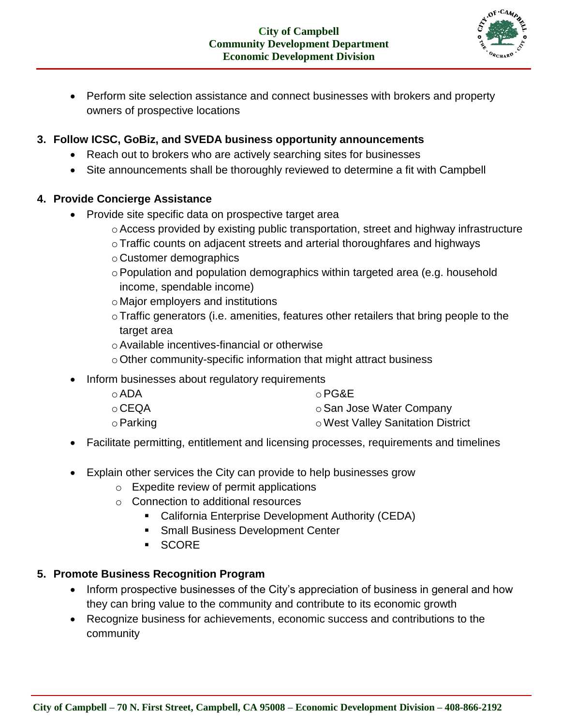

• Perform site selection assistance and connect businesses with brokers and property owners of prospective locations

## **3. Follow ICSC, GoBiz, and SVEDA business opportunity announcements**

- Reach out to brokers who are actively searching sites for businesses
- Site announcements shall be thoroughly reviewed to determine a fit with Campbell

## **4. Provide Concierge Assistance**

- Provide site specific data on prospective target area
	- oAccess provided by existing public transportation, street and highway infrastructure
	- oTraffic counts on adjacent streets and arterial thoroughfares and highways
	- o Customer demographics
	- o Population and population demographics within targeted area (e.g. household income, spendable income)
	- o Major employers and institutions
	- oTraffic generators (i.e. amenities, features other retailers that bring people to the target area
	- oAvailable incentives-financial or otherwise
	- $\circ$  Other community-specific information that might attract business
- Inform businesses about regulatory requirements
	- oADA o CEQA oPG&E o San Jose Water Company
	-
	- oParking oWest Valley Sanitation District
- Facilitate permitting, entitlement and licensing processes, requirements and timelines
- Explain other services the City can provide to help businesses grow
	- o Expedite review of permit applications
	- o Connection to additional resources
		- **EXEC** California Enterprise Development Authority (CEDA)
		- **Small Business Development Center**
		- SCORE

## **5. Promote Business Recognition Program**

- Inform prospective businesses of the City's appreciation of business in general and how they can bring value to the community and contribute to its economic growth
- Recognize business for achievements, economic success and contributions to the community